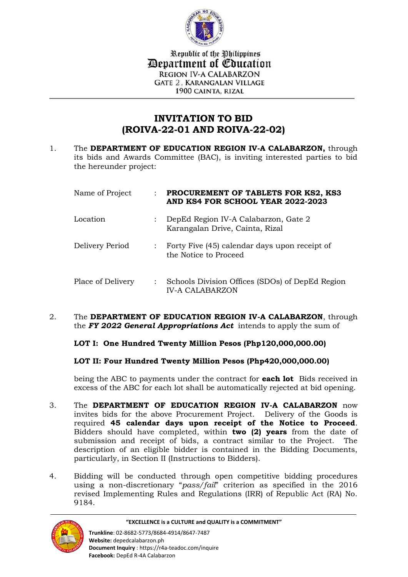

Republic of the Philippines *Department of Education* **REGION IV-A CALABARZON GATE 2. KARANGALAN VILLAGE** 1900 CAINTA, RIZAL

## **INVITATION TO BID (ROIVA-22-01 AND ROIVA-22-02)**

1. The **DEPARTMENT OF EDUCATION REGION IV-A CALABARZON,** through its bids and Awards Committee (BAC), is inviting interested parties to bid the hereunder project:

| Name of Project   | PROCUREMENT OF TABLETS FOR KS2, KS3<br>AND KS4 FOR SCHOOL YEAR 2022-2023  |
|-------------------|---------------------------------------------------------------------------|
| Location          | DepEd Region IV-A Calabarzon, Gate 2<br>Karangalan Drive, Cainta, Rizal   |
| Delivery Period   | : Forty Five (45) calendar days upon receipt of<br>the Notice to Proceed  |
| Place of Delivery | Schools Division Offices (SDOs) of DepEd Region<br><b>IV-A CALABARZON</b> |

2. The **DEPARTMENT OF EDUCATION REGION IV-A CALABARZON**, through the *FY 2022 General Appropriations Act* intends to apply the sum of

## **LOT I: One Hundred Twenty Million Pesos (Php120,000,000.00)**

## **LOT II: Four Hundred Twenty Million Pesos (Php420,000,000.00)**

being the ABC to payments under the contract for **each lot** Bids received in excess of the ABC for each lot shall be automatically rejected at bid opening.

- 3. The **DEPARTMENT OF EDUCATION REGION IV-A CALABARZON** now invites bids for the above Procurement Project. Delivery of the Goods is required **45 calendar days upon receipt of the Notice to Proceed**. Bidders should have completed, within **two (2) years** from the date of submission and receipt of bids, a contract similar to the Project. The description of an eligible bidder is contained in the Bidding Documents, particularly, in Section II (Instructions to Bidders).
- 4. Bidding will be conducted through open competitive bidding procedures using a non-discretionary "*pass/fail*" criterion as specified in the 2016 revised Implementing Rules and Regulations (IRR) of Republic Act (RA) No. 9184.

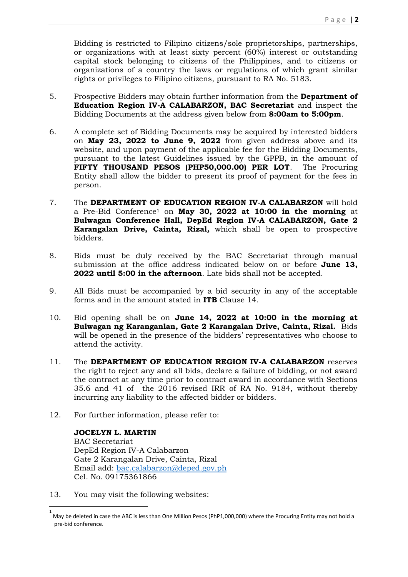Bidding is restricted to Filipino citizens/sole proprietorships, partnerships, or organizations with at least sixty percent (60%) interest or outstanding capital stock belonging to citizens of the Philippines, and to citizens or organizations of a country the laws or regulations of which grant similar rights or privileges to Filipino citizens, pursuant to RA No. 5183.

- 5. Prospective Bidders may obtain further information from the **Department of Education Region IV-A CALABARZON, BAC Secretariat** and inspect the Bidding Documents at the address given below from **8:00am to 5:00pm**.
- 6. A complete set of Bidding Documents may be acquired by interested bidders on **May 23, 2022 to June 9, 2022** from given address above and its website, and upon payment of the applicable fee for the Bidding Documents, pursuant to the latest Guidelines issued by the GPPB, in the amount of **FIFTY THOUSAND PESOS (PHP50,000.00) PER LOT**. The Procuring Entity shall allow the bidder to present its proof of payment for the fees in person.
- 7. The **DEPARTMENT OF EDUCATION REGION IV-A CALABARZON** will hold a Pre-Bid Conference<sup>1</sup> on **May 30, 2022 at 10:00 in the morning** at **Bulwagan Conference Hall, DepEd Region IV-A CALABARZON, Gate 2 Karangalan Drive, Cainta, Rizal***,* which shall be open to prospective bidders.
- 8. Bids must be duly received by the BAC Secretariat through manual submission at the office address indicated below on or before **June 13, 2022 until 5:00 in the afternoon**. Late bids shall not be accepted.
- 9. All Bids must be accompanied by a bid security in any of the acceptable forms and in the amount stated in **ITB** Clause 14.
- 10. Bid opening shall be on **June 14, 2022 at 10:00 in the morning at Bulwagan ng Karanganlan, Gate 2 Karangalan Drive, Cainta, Rizal.** Bids will be opened in the presence of the bidders' representatives who choose to attend the activity.
- 11. The **DEPARTMENT OF EDUCATION REGION IV-A CALABARZON** reserves the right to reject any and all bids, declare a failure of bidding, or not award the contract at any time prior to contract award in accordance with Sections 35.6 and 41 of the 2016 revised IRR of RA No. 9184, without thereby incurring any liability to the affected bidder or bidders.
- 12. For further information, please refer to:

**JOCELYN L. MARTIN** BAC Secretariat DepEd Region IV-A Calabarzon Gate 2 Karangalan Drive, Cainta, Rizal Email add: [bac.calabarzon@deped.gov.ph](mailto:bac.calabarzon@deped.gov.ph) Cel. No. 09175361866

13. You may visit the following websites:

1

<sup>1</sup> May be deleted in case the ABC is less than One Million Pesos (PhP1,000,000) where the Procuring Entity may not hold a pre-bid conference.